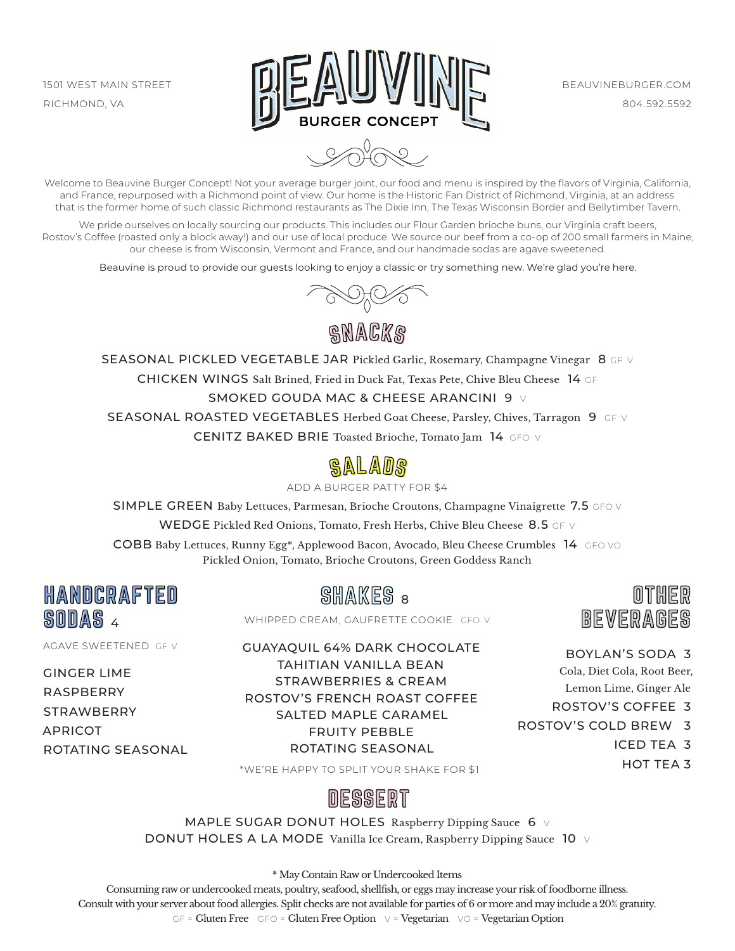

 $\sqrt{2}$ 

Welcome to Beauvine Burger Concept! Not your average burger joint, our food and menu is inspired by the flavors of Virginia, California, and France, repurposed with a Richmond point of view. Our home is the Historic Fan District of Richmond, Virginia, at an address that is the former home of such classic Richmond restaurants as The Dixie Inn, The Texas Wisconsin Border and Bellytimber Tavern.

We pride ourselves on locally sourcing our products. This includes our Flour Garden brioche buns, our Virginia craft beers, Rostov's Coffee (roasted only a block away!) and our use of local produce. We source our beef from a co-op of 200 small farmers in Maine, our cheese is from Wisconsin, Vermont and France, and our handmade sodas are agave sweetened.

Beauvine is proud to provide our guests looking to enjoy a classic or try something new. We're glad you're here.



SNACKS

SEASONAL PICKLED VEGETABLE JAR Pickled Garlic, Rosemary, Champagne Vinegar 8 GF V CHICKEN WINGS Salt Brined, Fried in Duck Fat, Texas Pete, Chive Bleu Cheese 14 GF SMOKED GOUDA MAC & CHEESE ARANCINI 9 V SEASONAL ROASTED VEGETABLES Herbed Goat Cheese, Parsley, Chives, Tarragon 9 GF V CENITZ BAKED BRIE Toasted Brioche, Tomato Jam 14 GFO V



ADD A BURGER PATTY FOR \$4

SIMPLE GREEN Baby Lettuces, Parmesan, Brioche Croutons, Champagne Vinaigrette 7.5 GFO V

WEDGE Pickled Red Onions, Tomato, Fresh Herbs, Chive Bleu Cheese 8.5 GF V

COBB Baby Lettuces, Runny Egg\*, Applewood Bacon, Avocado, Bleu Cheese Crumbles 14 GFO VO Pickled Onion, Tomato, Brioche Croutons, Green Goddess Ranch

HANDCRAFTED SHAKES HANDCRAFTED SODAS SODAS <sup>4</sup>

AGAVE SWEETENED GF V

GINGER LIME RASPBERRY **STRAWBERRY** APRICOT ROTATING SEASONAL SHAKES a

WHIPPED CREAM, GAUFRETTE COOKIE GFO V



OTHER OTHER BEVERAGES BEVERAGES

BOYLAN'S SODA 3 Cola, Diet Cola, Root Beer, Lemon Lime, Ginger Ale ROSTOV'S COFFEE 3 ROSTOV'S COLD BREW 3 ICED TEA 3 HOT TEA 3

\*WE'RE HAPPY TO SPLIT YOUR SHAKE FOR \$1

## **DESSERT**

MAPLE SUGAR DONUT HOLES Raspberry Dipping Sauce  $6 \vee$ DONUT HOLES A LA MODE Vanilla Ice Cream, Raspberry Dipping Sauce 10 V

\* May Contain Raw or Undercooked Items

Consuming raw or undercooked meats, poultry, seafood, shellfish, or eggs may increase your risk of foodborne illness. Consult with your server about food allergies. Split checks are not available for parties of 6 or more and may include a 20% gratuity. GF = Gluten Free GFO = Gluten Free Option  $\vee$  = Vegetarian  $\vee$ O = Vegetarian Option